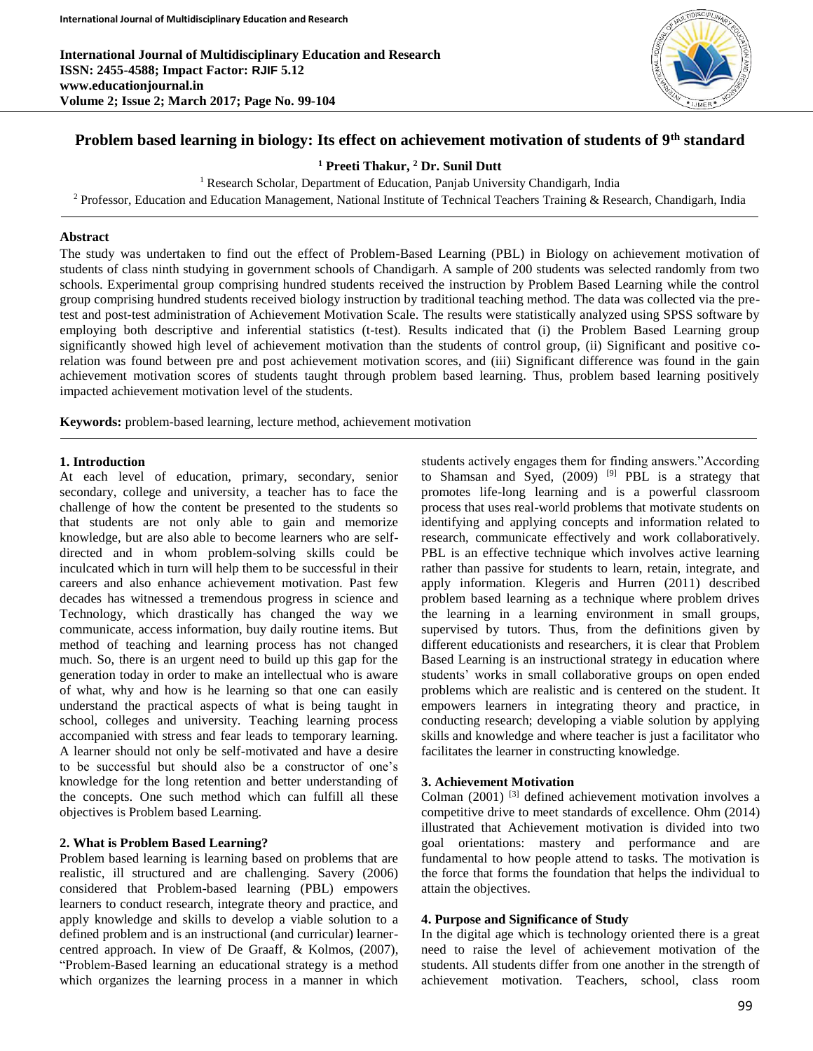

# **Problem based learning in biology: Its effect on achievement motivation of students of 9th standard**

**<sup>1</sup> Preeti Thakur, <sup>2</sup> Dr. Sunil Dutt**

<sup>1</sup> Research Scholar, Department of Education, Panjab University Chandigarh, India

<sup>2</sup> Professor, Education and Education Management, National Institute of Technical Teachers Training & Research, Chandigarh, India

### **Abstract**

The study was undertaken to find out the effect of Problem-Based Learning (PBL) in Biology on achievement motivation of students of class ninth studying in government schools of Chandigarh. A sample of 200 students was selected randomly from two schools. Experimental group comprising hundred students received the instruction by Problem Based Learning while the control group comprising hundred students received biology instruction by traditional teaching method. The data was collected via the pretest and post-test administration of Achievement Motivation Scale. The results were statistically analyzed using SPSS software by employing both descriptive and inferential statistics (t-test). Results indicated that (i) the Problem Based Learning group significantly showed high level of achievement motivation than the students of control group, (ii) Significant and positive corelation was found between pre and post achievement motivation scores, and (iii) Significant difference was found in the gain achievement motivation scores of students taught through problem based learning. Thus, problem based learning positively impacted achievement motivation level of the students.

**Keywords:** problem-based learning, lecture method, achievement motivation

#### **1. Introduction**

At each level of education, primary, secondary, senior secondary, college and university, a teacher has to face the challenge of how the content be presented to the students so that students are not only able to gain and memorize knowledge, but are also able to become learners who are selfdirected and in whom problem-solving skills could be inculcated which in turn will help them to be successful in their careers and also enhance achievement motivation. Past few decades has witnessed a tremendous progress in science and Technology, which drastically has changed the way we communicate, access information, buy daily routine items. But method of teaching and learning process has not changed much. So, there is an urgent need to build up this gap for the generation today in order to make an intellectual who is aware of what, why and how is he learning so that one can easily understand the practical aspects of what is being taught in school, colleges and university. Teaching learning process accompanied with stress and fear leads to temporary learning. A learner should not only be self-motivated and have a desire to be successful but should also be a constructor of one's knowledge for the long retention and better understanding of the concepts. One such method which can fulfill all these objectives is Problem based Learning.

### **2. What is Problem Based Learning?**

Problem based learning is learning based on problems that are realistic, ill structured and are challenging. Savery (2006) considered that Problem-based learning (PBL) empowers learners to conduct research, integrate theory and practice, and apply knowledge and skills to develop a viable solution to a defined problem and is an instructional (and curricular) learnercentred approach. In view of De Graaff, & Kolmos, (2007), "Problem-Based learning an educational strategy is a method which organizes the learning process in a manner in which

students actively engages them for finding answers."According to Shamsan and Syed, (2009) <sup>[9]</sup> PBL is a strategy that promotes life-long learning and is a powerful classroom process that uses real-world problems that motivate students on identifying and applying concepts and information related to research, communicate effectively and work collaboratively. PBL is an effective technique which involves active learning rather than passive for students to learn, retain, integrate, and apply information. Klegeris and Hurren (2011) described problem based learning as a technique where problem drives the learning in a learning environment in small groups, supervised by tutors. Thus, from the definitions given by different educationists and researchers, it is clear that Problem Based Learning is an instructional strategy in education where students' works in small collaborative groups on open ended problems which are realistic and is centered on the student. It empowers learners in integrating theory and practice, in conducting research; developing a viable solution by applying skills and knowledge and where teacher is just a facilitator who facilitates the learner in constructing knowledge.

#### **3. Achievement Motivation**

Colman  $(2001)$  <sup>[3]</sup> defined achievement motivation involves a competitive drive to meet standards of excellence. Ohm (2014) illustrated that Achievement motivation is divided into two goal orientations: mastery and performance and are fundamental to how people attend to tasks. The motivation is the force that forms the foundation that helps the individual to attain the objectives.

#### **4. Purpose and Significance of Study**

In the digital age which is technology oriented there is a great need to raise the level of achievement motivation of the students. All students differ from one another in the strength of achievement motivation. Teachers, school, class room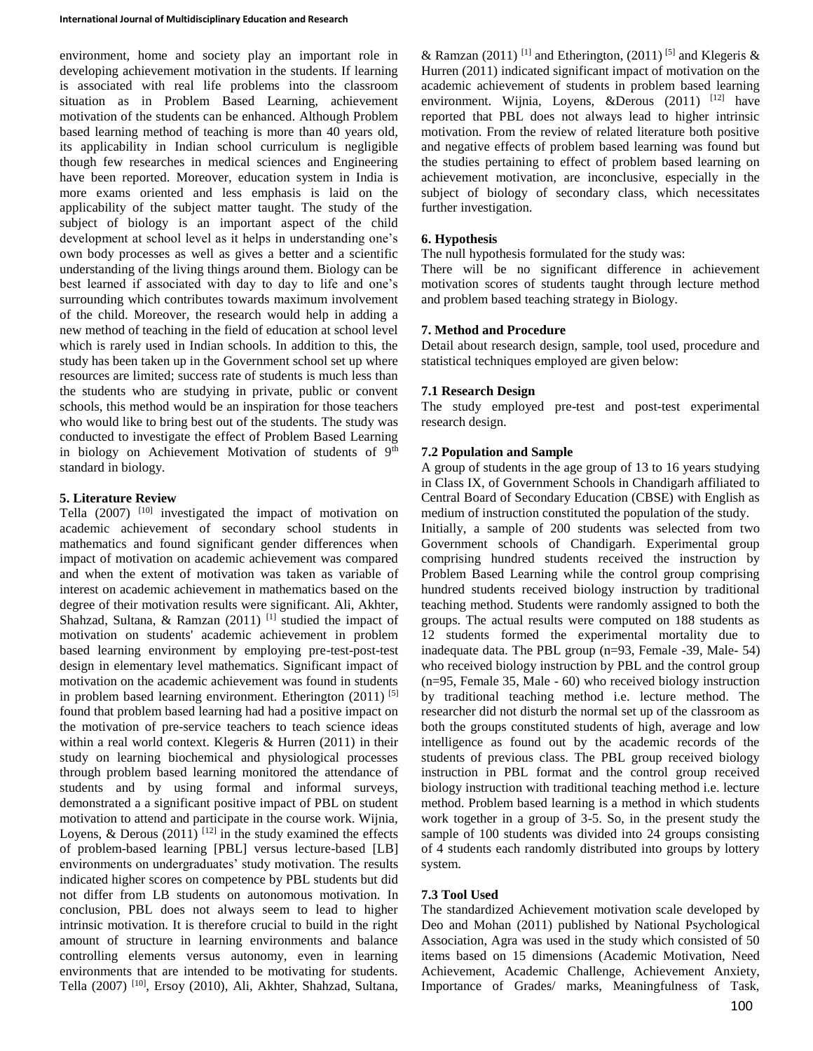environment, home and society play an important role in developing achievement motivation in the students. If learning is associated with real life problems into the classroom situation as in Problem Based Learning, achievement motivation of the students can be enhanced. Although Problem based learning method of teaching is more than 40 years old, its applicability in Indian school curriculum is negligible though few researches in medical sciences and Engineering have been reported. Moreover, education system in India is more exams oriented and less emphasis is laid on the applicability of the subject matter taught. The study of the subject of biology is an important aspect of the child development at school level as it helps in understanding one's own body processes as well as gives a better and a scientific understanding of the living things around them. Biology can be best learned if associated with day to day to life and one's surrounding which contributes towards maximum involvement of the child. Moreover, the research would help in adding a new method of teaching in the field of education at school level which is rarely used in Indian schools. In addition to this, the study has been taken up in the Government school set up where resources are limited; success rate of students is much less than the students who are studying in private, public or convent schools, this method would be an inspiration for those teachers who would like to bring best out of the students. The study was conducted to investigate the effect of Problem Based Learning in biology on Achievement Motivation of students of  $9<sup>th</sup>$ standard in biology.

#### **5. Literature Review**

Tella  $(2007)$  <sup>[10]</sup> investigated the impact of motivation on academic achievement of secondary school students in mathematics and found significant gender differences when impact of motivation on academic achievement was compared and when the extent of motivation was taken as variable of interest on academic achievement in mathematics based on the degree of their motivation results were significant. Ali, Akhter, Shahzad, Sultana, & Ramzan (2011) <sup>[1]</sup> studied the impact of motivation on students' academic achievement in problem based learning environment by employing pre-test-post-test design in elementary level mathematics. Significant impact of motivation on the academic achievement was found in students in problem based learning environment. Etherington  $(2011)$ <sup>[5]</sup> found that problem based learning had had a positive impact on the motivation of pre-service teachers to teach science ideas within a real world context. Klegeris & Hurren (2011) in their study on learning biochemical and physiological processes through problem based learning monitored the attendance of students and by using formal and informal surveys, demonstrated a a significant positive impact of PBL on student motivation to attend and participate in the course work. Wijnia, Loyens, & Derous  $(2011)$ <sup>[12]</sup> in the study examined the effects of problem-based learning [PBL] versus lecture-based [LB] environments on undergraduates' study motivation. The results indicated higher scores on competence by PBL students but did not differ from LB students on autonomous motivation. In conclusion, PBL does not always seem to lead to higher intrinsic motivation. It is therefore crucial to build in the right amount of structure in learning environments and balance controlling elements versus autonomy, even in learning environments that are intended to be motivating for students. Tella (2007)<sup>[10]</sup>, Ersoy (2010), Ali, Akhter, Shahzad, Sultana,

& Ramzan (2011)<sup>[1]</sup> and Etherington, (2011)<sup>[5]</sup> and Klegeris & Hurren (2011) indicated significant impact of motivation on the academic achievement of students in problem based learning environment. Wijnia, Loyens, &Derous (2011) <sup>[12]</sup> have reported that PBL does not always lead to higher intrinsic motivation. From the review of related literature both positive and negative effects of problem based learning was found but the studies pertaining to effect of problem based learning on achievement motivation, are inconclusive, especially in the subject of biology of secondary class, which necessitates further investigation.

# **6. Hypothesis**

The null hypothesis formulated for the study was:

There will be no significant difference in achievement motivation scores of students taught through lecture method and problem based teaching strategy in Biology.

### **7. Method and Procedure**

Detail about research design, sample, tool used, procedure and statistical techniques employed are given below:

# **7.1 Research Design**

The study employed pre-test and post-test experimental research design.

# **7.2 Population and Sample**

A group of students in the age group of 13 to 16 years studying in Class IX, of Government Schools in Chandigarh affiliated to Central Board of Secondary Education (CBSE) with English as medium of instruction constituted the population of the study.

Initially, a sample of 200 students was selected from two Government schools of Chandigarh. Experimental group comprising hundred students received the instruction by Problem Based Learning while the control group comprising hundred students received biology instruction by traditional teaching method. Students were randomly assigned to both the groups. The actual results were computed on 188 students as 12 students formed the experimental mortality due to inadequate data. The PBL group (n=93, Female -39, Male- 54) who received biology instruction by PBL and the control group (n=95, Female 35, Male - 60) who received biology instruction by traditional teaching method i.e. lecture method. The researcher did not disturb the normal set up of the classroom as both the groups constituted students of high, average and low intelligence as found out by the academic records of the students of previous class. The PBL group received biology instruction in PBL format and the control group received biology instruction with traditional teaching method i.e. lecture method. Problem based learning is a method in which students work together in a group of 3-5. So, in the present study the sample of 100 students was divided into 24 groups consisting of 4 students each randomly distributed into groups by lottery system.

### **7.3 Tool Used**

The standardized Achievement motivation scale developed by Deo and Mohan (2011) published by National Psychological Association, Agra was used in the study which consisted of 50 items based on 15 dimensions (Academic Motivation, Need Achievement, Academic Challenge, Achievement Anxiety, Importance of Grades/ marks, Meaningfulness of Task,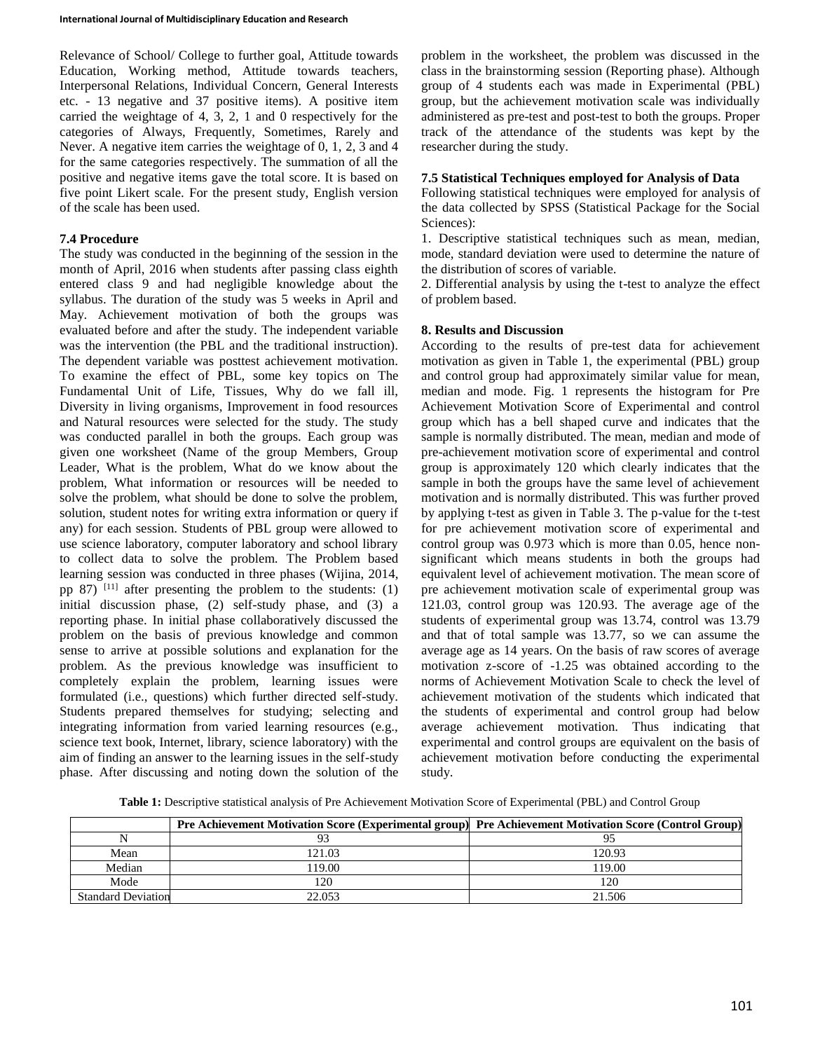Relevance of School/ College to further goal, Attitude towards Education, Working method, Attitude towards teachers, Interpersonal Relations, Individual Concern, General Interests etc. - 13 negative and 37 positive items). A positive item carried the weightage of 4, 3, 2, 1 and 0 respectively for the categories of Always, Frequently, Sometimes, Rarely and Never. A negative item carries the weightage of 0, 1, 2, 3 and 4 for the same categories respectively. The summation of all the positive and negative items gave the total score. It is based on five point Likert scale. For the present study, English version of the scale has been used.

### **7.4 Procedure**

The study was conducted in the beginning of the session in the month of April, 2016 when students after passing class eighth entered class 9 and had negligible knowledge about the syllabus. The duration of the study was 5 weeks in April and May. Achievement motivation of both the groups was evaluated before and after the study. The independent variable was the intervention (the PBL and the traditional instruction). The dependent variable was posttest achievement motivation. To examine the effect of PBL, some key topics on The Fundamental Unit of Life, Tissues, Why do we fall ill, Diversity in living organisms, Improvement in food resources and Natural resources were selected for the study. The study was conducted parallel in both the groups. Each group was given one worksheet (Name of the group Members, Group Leader, What is the problem, What do we know about the problem, What information or resources will be needed to solve the problem, what should be done to solve the problem, solution, student notes for writing extra information or query if any) for each session. Students of PBL group were allowed to use science laboratory, computer laboratory and school library to collect data to solve the problem. The Problem based learning session was conducted in three phases (Wijina, 2014, pp 87)<sup>[11]</sup> after presenting the problem to the students: (1) initial discussion phase, (2) self-study phase, and (3) a reporting phase. In initial phase collaboratively discussed the problem on the basis of previous knowledge and common sense to arrive at possible solutions and explanation for the problem. As the previous knowledge was insufficient to completely explain the problem, learning issues were formulated (i.e., questions) which further directed self-study. Students prepared themselves for studying; selecting and integrating information from varied learning resources (e.g., science text book, Internet, library, science laboratory) with the aim of finding an answer to the learning issues in the self-study phase. After discussing and noting down the solution of the

problem in the worksheet, the problem was discussed in the class in the brainstorming session (Reporting phase). Although group of 4 students each was made in Experimental (PBL) group, but the achievement motivation scale was individually administered as pre-test and post-test to both the groups. Proper track of the attendance of the students was kept by the researcher during the study.

#### **7.5 Statistical Techniques employed for Analysis of Data**

Following statistical techniques were employed for analysis of the data collected by SPSS (Statistical Package for the Social Sciences):

1. Descriptive statistical techniques such as mean, median, mode, standard deviation were used to determine the nature of the distribution of scores of variable.

2. Differential analysis by using the t-test to analyze the effect of problem based.

#### **8. Results and Discussion**

According to the results of pre-test data for achievement motivation as given in Table 1, the experimental (PBL) group and control group had approximately similar value for mean, median and mode. Fig. 1 represents the histogram for Pre Achievement Motivation Score of Experimental and control group which has a bell shaped curve and indicates that the sample is normally distributed. The mean, median and mode of pre-achievement motivation score of experimental and control group is approximately 120 which clearly indicates that the sample in both the groups have the same level of achievement motivation and is normally distributed. This was further proved by applying t-test as given in Table 3. The p-value for the t-test for pre achievement motivation score of experimental and control group was 0.973 which is more than 0.05, hence nonsignificant which means students in both the groups had equivalent level of achievement motivation. The mean score of pre achievement motivation scale of experimental group was 121.03, control group was 120.93. The average age of the students of experimental group was 13.74, control was 13.79 and that of total sample was 13.77, so we can assume the average age as 14 years. On the basis of raw scores of average motivation z-score of -1.25 was obtained according to the norms of Achievement Motivation Scale to check the level of achievement motivation of the students which indicated that the students of experimental and control group had below average achievement motivation. Thus indicating that experimental and control groups are equivalent on the basis of achievement motivation before conducting the experimental study.

**Table 1:** Descriptive statistical analysis of Pre Achievement Motivation Score of Experimental (PBL) and Control Group

|                           | Pre Achievement Motivation Score (Experimental group) Pre Achievement Motivation Score (Control Group) |        |
|---------------------------|--------------------------------------------------------------------------------------------------------|--------|
|                           |                                                                                                        |        |
| Mean                      | 121.03                                                                                                 | 120.93 |
| Median                    | 19.00                                                                                                  | 19.00  |
| Mode                      | 120                                                                                                    | 120    |
| <b>Standard Deviation</b> | 22.053                                                                                                 | 21.506 |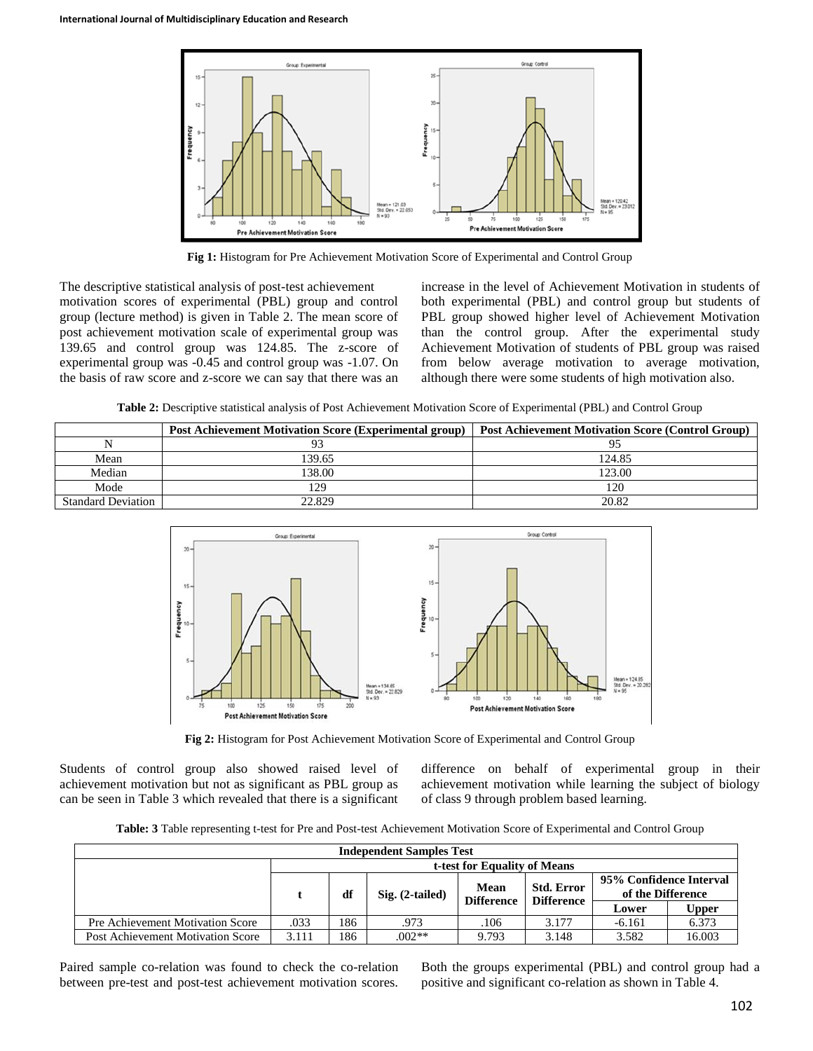

**Fig 1:** Histogram for Pre Achievement Motivation Score of Experimental and Control Group

The descriptive statistical analysis of post-test achievement motivation scores of experimental (PBL) group and control group (lecture method) is given in Table 2. The mean score of post achievement motivation scale of experimental group was 139.65 and control group was 124.85. The z-score of experimental group was -0.45 and control group was -1.07. On the basis of raw score and z-score we can say that there was an

increase in the level of Achievement Motivation in students of both experimental (PBL) and control group but students of PBL group showed higher level of Achievement Motivation than the control group. After the experimental study Achievement Motivation of students of PBL group was raised from below average motivation to average motivation, although there were some students of high motivation also.

**Table 2:** Descriptive statistical analysis of Post Achievement Motivation Score of Experimental (PBL) and Control Group

|                           | <b>Post Achievement Motivation Score (Experimental group)</b> | <b>Post Achievement Motivation Score (Control Group)</b> |
|---------------------------|---------------------------------------------------------------|----------------------------------------------------------|
|                           |                                                               |                                                          |
| Mean                      | 139.65                                                        | 124.85                                                   |
| Median                    | 138.00                                                        | 123.00                                                   |
| Mode                      | 129                                                           | 120                                                      |
| <b>Standard Deviation</b> | 22.829                                                        | 20.82                                                    |



**Fig 2:** Histogram for Post Achievement Motivation Score of Experimental and Control Group

Students of control group also showed raised level of achievement motivation but not as significant as PBL group as can be seen in Table 3 which revealed that there is a significant difference on behalf of experimental group in their achievement motivation while learning the subject of biology of class 9 through problem based learning.

**Table: 3** Table representing t-test for Pre and Post-test Achievement Motivation Score of Experimental and Control Group

| <b>Independent Samples Test</b>         |                              |     |                   |                           |                                        |                                              |        |  |  |
|-----------------------------------------|------------------------------|-----|-------------------|---------------------------|----------------------------------------|----------------------------------------------|--------|--|--|
|                                         | t-test for Equality of Means |     |                   |                           |                                        |                                              |        |  |  |
|                                         |                              | df  | $Sig. (2-tailed)$ | Mean<br><b>Difference</b> | <b>Std. Error</b><br><b>Difference</b> | 95% Confidence Interval<br>of the Difference |        |  |  |
|                                         |                              |     |                   |                           |                                        | Lower                                        | Upper  |  |  |
| <b>Pre Achievement Motivation Score</b> | .033                         | 186 | .973              | .106                      | 3.177                                  | $-6.161$                                     | 6.373  |  |  |
| Post Achievement Motivation Score       | 3.111                        | 186 | $.002**$          | 9.793                     | 3.148                                  | 3.582                                        | 16.003 |  |  |

Paired sample co-relation was found to check the co-relation between pre-test and post-test achievement motivation scores. Both the groups experimental (PBL) and control group had a positive and significant co-relation as shown in Table 4.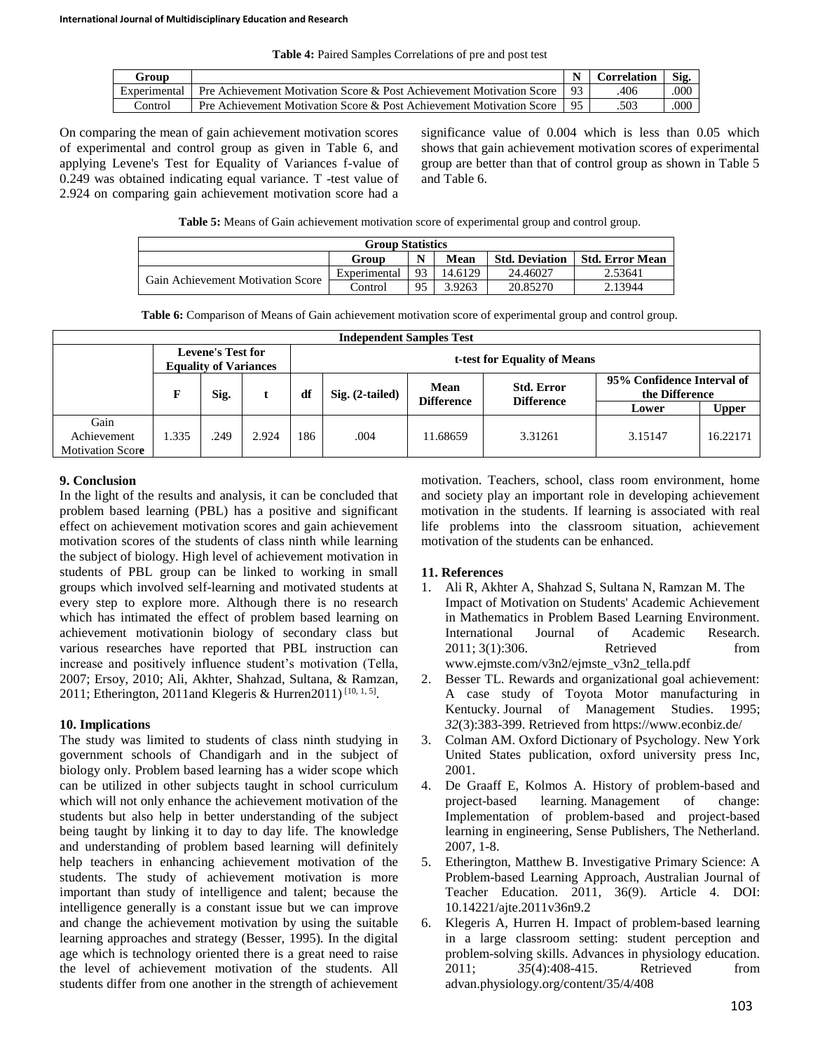**Table 4:** Paired Samples Correlations of pre and post test

| Group        |                                                                      | <b>Correlation</b> | Sig. |
|--------------|----------------------------------------------------------------------|--------------------|------|
| Experimental | Pre Achievement Motivation Score & Post Achievement Motivation Score | 406                | .000 |
| `ontrol      | Pre Achievement Motivation Score & Post Achievement Motivation Score | .503               | .000 |

On comparing the mean of gain achievement motivation scores of experimental and control group as given in Table 6, and applying Levene's Test for Equality of Variances f-value of 0.249 was obtained indicating equal variance. T -test value of 2.924 on comparing gain achievement motivation score had a significance value of 0.004 which is less than 0.05 which shows that gain achievement motivation scores of experimental group are better than that of control group as shown in Table 5 and Table 6.

**Table 5:** Means of Gain achievement motivation score of experimental group and control group.

| <b>Group Statistics</b>           |              |    |         |                       |                        |  |  |  |
|-----------------------------------|--------------|----|---------|-----------------------|------------------------|--|--|--|
|                                   | Group        | N  | Mean    | <b>Std. Deviation</b> | <b>Std. Error Mean</b> |  |  |  |
| Gain Achievement Motivation Score | Experimental | 93 | 14.6129 | 24.46027              | 2.53641                |  |  |  |
|                                   | Control      | 95 | 3.9263  | 20.85270              | 2.13944                |  |  |  |

**Table 6:** Comparison of Means of Gain achievement motivation score of experimental group and control group.

| <b>Independent Samples Test</b>                |       |                                                          |       |                              |                           |                   |                                 |                                              |              |  |
|------------------------------------------------|-------|----------------------------------------------------------|-------|------------------------------|---------------------------|-------------------|---------------------------------|----------------------------------------------|--------------|--|
|                                                |       | <b>Levene's Test for</b><br><b>Equality of Variances</b> |       | t-test for Equality of Means |                           |                   |                                 |                                              |              |  |
|                                                | F     | Sig.                                                     |       | df                           | Mean<br>$Sig. (2-tailed)$ | <b>Difference</b> | Std. Error<br><b>Difference</b> | 95% Confidence Interval of<br>the Difference |              |  |
|                                                |       |                                                          |       |                              |                           |                   |                                 | Lower                                        | <b>Upper</b> |  |
| Gain<br>Achievement<br><b>Motivation Score</b> | 1.335 | .249                                                     | 2.924 | 186                          | .004                      | 11.68659          | 3.31261                         | 3.15147                                      | 16.22171     |  |

# **9. Conclusion**

In the light of the results and analysis, it can be concluded that problem based learning (PBL) has a positive and significant effect on achievement motivation scores and gain achievement motivation scores of the students of class ninth while learning the subject of biology. High level of achievement motivation in students of PBL group can be linked to working in small groups which involved self-learning and motivated students at every step to explore more. Although there is no research which has intimated the effect of problem based learning on achievement motivationin biology of secondary class but various researches have reported that PBL instruction can increase and positively influence student's motivation (Tella, 2007; Ersoy, 2010; Ali, Akhter, Shahzad, Sultana, & Ramzan, 2011; Etherington, 2011 and Klegeris & Hurren 2011)<sup>[10, 1, 5]</sup>.

### **10. Implications**

The study was limited to students of class ninth studying in government schools of Chandigarh and in the subject of biology only. Problem based learning has a wider scope which can be utilized in other subjects taught in school curriculum which will not only enhance the achievement motivation of the students but also help in better understanding of the subject being taught by linking it to day to day life. The knowledge and understanding of problem based learning will definitely help teachers in enhancing achievement motivation of the students. The study of achievement motivation is more important than study of intelligence and talent; because the intelligence generally is a constant issue but we can improve and change the achievement motivation by using the suitable learning approaches and strategy (Besser, 1995). In the digital age which is technology oriented there is a great need to raise the level of achievement motivation of the students. All students differ from one another in the strength of achievement

motivation. Teachers, school, class room environment, home and society play an important role in developing achievement motivation in the students. If learning is associated with real life problems into the classroom situation, achievement motivation of the students can be enhanced.

# **11. References**

- 1. Ali R, Akhter A, Shahzad S, Sultana N, Ramzan M. The Impact of Motivation on Students' Academic Achievement in Mathematics in Problem Based Learning Environment. International Journal of Academic Research. 2011; 3(1):306. Retrieved from www.ejmste.com/v3n2/ejmste\_v3n2\_tella.pdf
- Besser TL. Rewards and organizational goal achievement: A case study of Toyota Motor manufacturing in Kentucky. Journal of Management Studies. 1995; *32*(3):383-399. Retrieved from https://www.econbiz.de/
- 3. Colman AM. Oxford Dictionary of Psychology. New York United States publication, oxford university press Inc, 2001.
- 4. De Graaff E, Kolmos A. History of problem-based and project-based learning. Management of change: Implementation of problem-based and project-based learning in engineering, Sense Publishers, The Netherland. 2007, 1-8.
- 5. Etherington, Matthew B. Investigative Primary Science: A Problem-based Learning Approach, *A*ustralian Journal of Teacher Education. 2011, 36(9). Article 4. DOI: 10.14221/ajte.2011v36n9.2
- 6. Klegeris A, Hurren H. Impact of problem-based learning in a large classroom setting: student perception and problem-solving skills. Advances in physiology education. 2011; *35*(4):408-415. Retrieved from advan.physiology.org/content/35/4/408